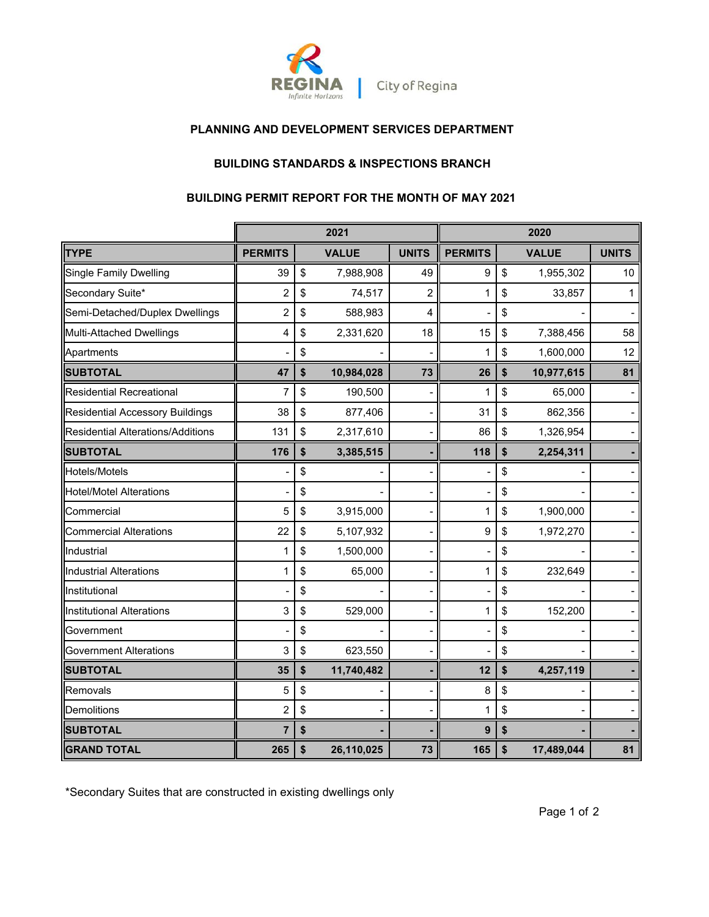

### **PLANNING AND DEVELOPMENT SERVICES DEPARTMENT**

### **BUILDING STANDARDS & INSPECTIONS BRANCH**

### **BUILDING PERMIT REPORT FOR THE MONTH OF MAY 2021**

|                                          | 2021                    |    |              | 2020           |                |    |              |              |
|------------------------------------------|-------------------------|----|--------------|----------------|----------------|----|--------------|--------------|
| <b>TYPE</b>                              | <b>PERMITS</b>          |    | <b>VALUE</b> | <b>UNITS</b>   | <b>PERMITS</b> |    | <b>VALUE</b> | <b>UNITS</b> |
| <b>Single Family Dwelling</b>            | 39                      | \$ | 7,988,908    | 49             | 9              | \$ | 1,955,302    | 10           |
| Secondary Suite*                         | $\overline{\mathbf{c}}$ | \$ | 74,517       | $\overline{c}$ | 1              | \$ | 33,857       | 1            |
| Semi-Detached/Duplex Dwellings           | $\overline{c}$          | \$ | 588,983      | 4              |                | \$ |              |              |
| <b>Multi-Attached Dwellings</b>          | 4                       | \$ | 2,331,620    | 18             | 15             | \$ | 7,388,456    | 58           |
| Apartments                               |                         | \$ |              |                |                | \$ | 1,600,000    | 12           |
| <b>SUBTOTAL</b>                          | 47                      | \$ | 10,984,028   | 73             | 26             | \$ | 10,977,615   | 81           |
| <b>Residential Recreational</b>          | 7                       | \$ | 190,500      |                | 1              | \$ | 65,000       |              |
| <b>Residential Accessory Buildings</b>   | 38                      | \$ | 877,406      |                | 31             | \$ | 862,356      |              |
| <b>Residential Alterations/Additions</b> | 131                     | \$ | 2,317,610    |                | 86             | \$ | 1,326,954    |              |
| <b>SUBTOTAL</b>                          | 176                     | \$ | 3,385,515    |                | 118            | \$ | 2,254,311    |              |
| Hotels/Motels                            |                         | \$ |              |                |                | \$ |              |              |
| <b>Hotel/Motel Alterations</b>           |                         | \$ |              |                |                | \$ |              |              |
| Commercial                               | 5                       | \$ | 3,915,000    |                | 1              | \$ | 1,900,000    |              |
| <b>Commercial Alterations</b>            | 22                      | \$ | 5,107,932    |                | 9              | \$ | 1,972,270    |              |
| Industrial                               | 1                       | \$ | 1,500,000    |                |                | \$ |              |              |
| <b>Industrial Alterations</b>            | 1                       | \$ | 65,000       |                | 1              | \$ | 232,649      |              |
| Institutional                            |                         | \$ |              |                |                | \$ |              |              |
| <b>Institutional Alterations</b>         | 3                       | \$ | 529,000      |                | 1              | \$ | 152,200      |              |
| Government                               |                         | \$ |              |                |                | \$ |              |              |
| <b>Government Alterations</b>            | 3                       | \$ | 623,550      |                |                | \$ |              |              |
| <b>SUBTOTAL</b>                          | 35                      | \$ | 11,740,482   |                | 12             | \$ | 4,257,119    |              |
| Removals                                 | 5                       | \$ |              |                | 8              | \$ |              |              |
| Demolitions                              | $\overline{c}$          | \$ |              |                | 1              | \$ |              |              |
| <b>SUBTOTAL</b>                          | $\overline{7}$          | \$ |              |                | 9              | \$ |              |              |
| <b>GRAND TOTAL</b>                       | 265                     | \$ | 26,110,025   | 73             | 165            | \$ | 17,489,044   | 81           |

\*Secondary Suites that are constructed in existing dwellings only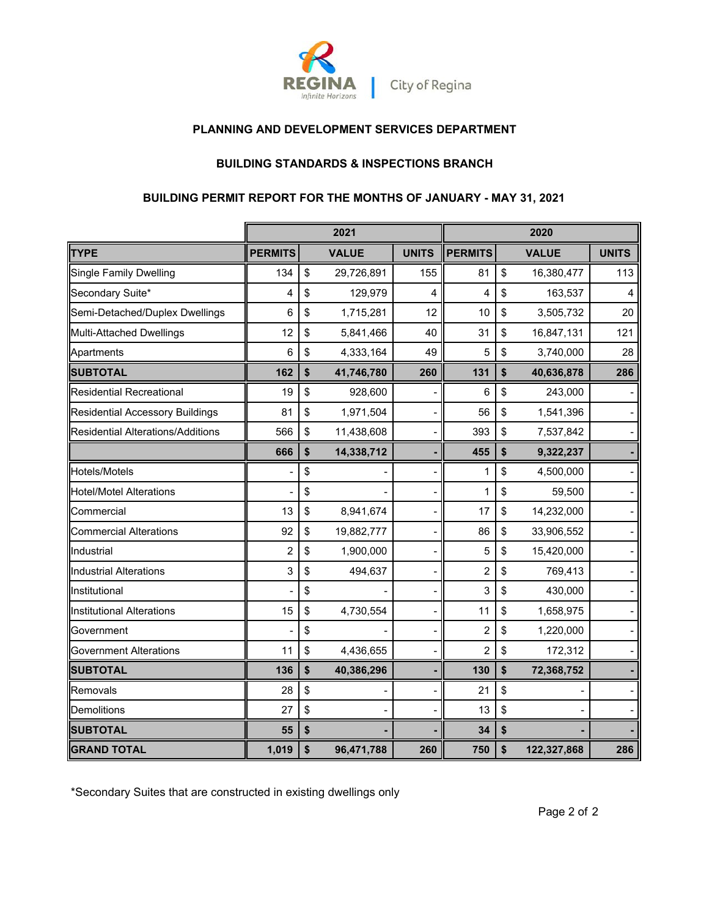

### **PLANNING AND DEVELOPMENT SERVICES DEPARTMENT**

## **BUILDING STANDARDS & INSPECTIONS BRANCH**

# **BUILDING PERMIT REPORT FOR THE MONTHS OF JANUARY - MAY 31, 2021**

|                                        | 2021<br>2020   |    |              |              |                |                   |              |
|----------------------------------------|----------------|----|--------------|--------------|----------------|-------------------|--------------|
| <b>TYPE</b>                            | <b>PERMITS</b> |    | <b>VALUE</b> | <b>UNITS</b> | <b>PERMITS</b> | <b>VALUE</b>      | <b>UNITS</b> |
| <b>Single Family Dwelling</b>          | 134            | \$ | 29,726,891   | 155          | 81             | \$<br>16,380,477  | 113          |
| Secondary Suite*                       | 4              | \$ | 129,979      | 4            | 4              | \$<br>163,537     | 4            |
| Semi-Detached/Duplex Dwellings         | 6              | \$ | 1,715,281    | 12           | 10             | \$<br>3,505,732   | 20           |
| Multi-Attached Dwellings               | 12             | \$ | 5,841,466    | 40           | 31             | \$<br>16,847,131  | 121          |
| Apartments                             | 6              | \$ | 4,333,164    | 49           | 5              | \$<br>3,740,000   | 28           |
| <b>SUBTOTAL</b>                        | 162            | \$ | 41,746,780   | 260          | 131            | \$<br>40,636,878  | 286          |
| <b>Residential Recreational</b>        | 19             | \$ | 928,600      |              | 6              | \$<br>243,000     |              |
| <b>Residential Accessory Buildings</b> | 81             | \$ | 1,971,504    |              | 56             | \$<br>1,541,396   |              |
| Residential Alterations/Additions      | 566            | \$ | 11,438,608   |              | 393            | \$<br>7,537,842   |              |
|                                        | 666            | \$ | 14,338,712   |              | 455            | \$<br>9,322,237   |              |
| Hotels/Motels                          |                | \$ |              |              | 1              | \$<br>4,500,000   |              |
| <b>Hotel/Motel Alterations</b>         |                | \$ |              |              | $\mathbf{1}$   | \$<br>59,500      |              |
| Commercial                             | 13             | \$ | 8,941,674    |              | 17             | \$<br>14,232,000  |              |
| <b>Commercial Alterations</b>          | 92             | \$ | 19,882,777   | -            | 86             | \$<br>33,906,552  |              |
| Industrial                             | $\overline{c}$ | \$ | 1,900,000    |              | 5              | \$<br>15,420,000  |              |
| <b>Industrial Alterations</b>          | 3              | \$ | 494,637      |              | $\overline{c}$ | \$<br>769,413     |              |
| Institutional                          |                | \$ |              |              | 3              | \$<br>430,000     |              |
| <b>Institutional Alterations</b>       | 15             | \$ | 4,730,554    |              | 11             | \$<br>1,658,975   |              |
| Government                             |                | \$ |              |              | $\overline{c}$ | \$<br>1,220,000   |              |
| <b>Government Alterations</b>          | 11             | \$ | 4,436,655    |              | $\overline{2}$ | \$<br>172,312     |              |
| <b>SUBTOTAL</b>                        | 136            | \$ | 40,386,296   |              | 130            | \$<br>72,368,752  |              |
| Removals                               | 28             | \$ |              |              | 21             | \$                |              |
| Demolitions                            | 27             | \$ |              |              | 13             | \$                |              |
| <b>SUBTOTAL</b>                        | 55             | \$ |              |              | 34             | \$                |              |
| <b>GRAND TOTAL</b>                     | 1,019          | \$ | 96,471,788   | 260          | 750            | \$<br>122,327,868 | 286          |

\*Secondary Suites that are constructed in existing dwellings only